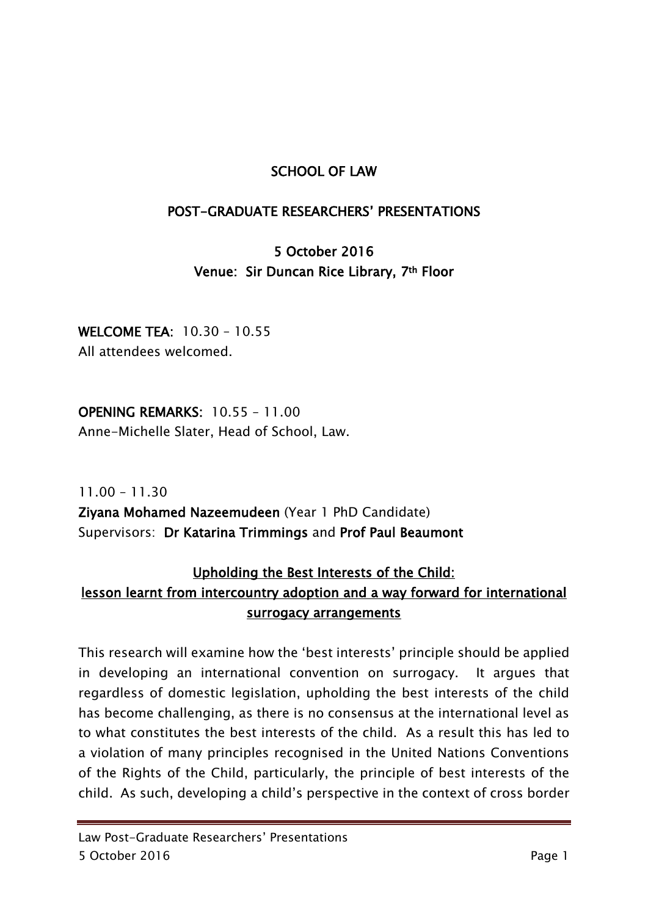### SCHOOL OF LAW

#### POST-GRADUATE RESEARCHERS' PRESENTATIONS

# 5 October 2016 Venue: Sir Duncan Rice Library, 7th Floor

WELCOME TEA: 10.30 – 10.55 All attendees welcomed.

OPENING REMARKS: 10.55 – 11.00 Anne-Michelle Slater, Head of School, Law.

11.00 – 11.30 Ziyana Mohamed Nazeemudeen (Year 1 PhD Candidate) Supervisors: Dr Katarina Trimmings and Prof Paul Beaumont

## Upholding the Best Interests of the Child: lesson learnt from intercountry adoption and a way forward for international surrogacy arrangements

This research will examine how the 'best interests' principle should be applied in developing an international convention on surrogacy. It argues that regardless of domestic legislation, upholding the best interests of the child has become challenging, as there is no consensus at the international level as to what constitutes the best interests of the child. As a result this has led to a violation of many principles recognised in the United Nations Conventions of the Rights of the Child, particularly, the principle of best interests of the child. As such, developing a child's perspective in the context of cross border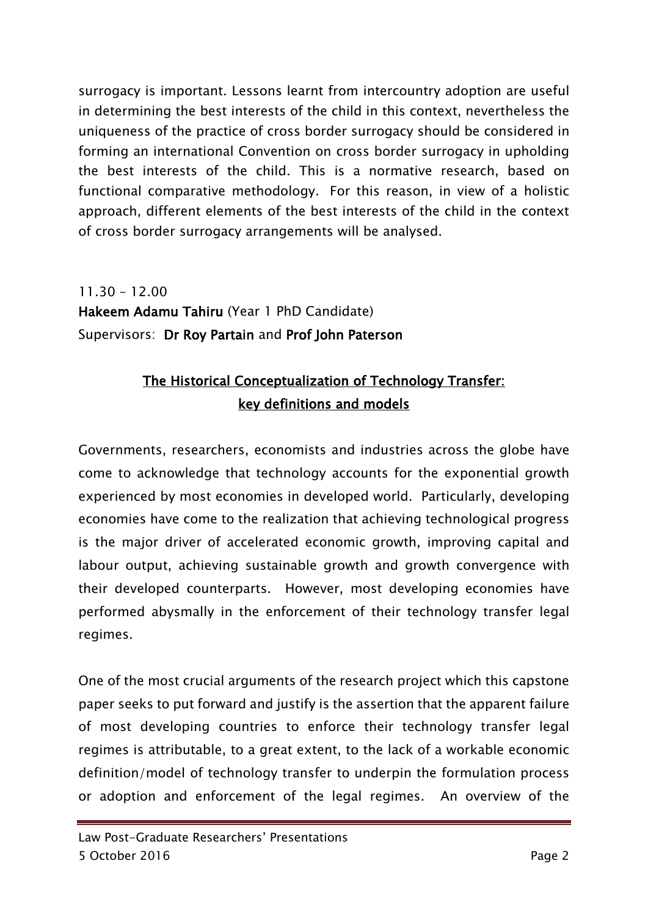surrogacy is important. Lessons learnt from intercountry adoption are useful in determining the best interests of the child in this context, nevertheless the uniqueness of the practice of cross border surrogacy should be considered in forming an international Convention on cross border surrogacy in upholding the best interests of the child. This is a normative research, based on functional comparative methodology. For this reason, in view of a holistic approach, different elements of the best interests of the child in the context of cross border surrogacy arrangements will be analysed.

11.30 – 12.00 Hakeem Adamu Tahiru (Year 1 PhD Candidate) Supervisors: Dr Roy Partain and Prof John Paterson

# The Historical Conceptualization of Technology Transfer: key definitions and models

Governments, researchers, economists and industries across the globe have come to acknowledge that technology accounts for the exponential growth experienced by most economies in developed world. Particularly, developing economies have come to the realization that achieving technological progress is the major driver of accelerated economic growth, improving capital and labour output, achieving sustainable growth and growth convergence with their developed counterparts. However, most developing economies have performed abysmally in the enforcement of their technology transfer legal regimes.

One of the most crucial arguments of the research project which this capstone paper seeks to put forward and justify is the assertion that the apparent failure of most developing countries to enforce their technology transfer legal regimes is attributable, to a great extent, to the lack of a workable economic definition/model of technology transfer to underpin the formulation process or adoption and enforcement of the legal regimes. An overview of the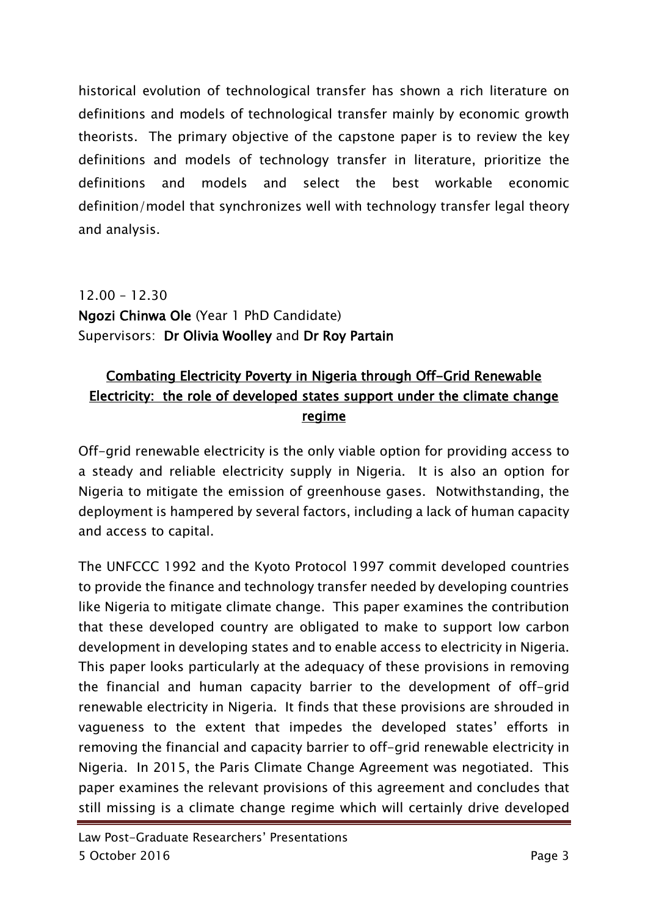historical evolution of technological transfer has shown a rich literature on definitions and models of technological transfer mainly by economic growth theorists. The primary objective of the capstone paper is to review the key definitions and models of technology transfer in literature, prioritize the definitions and models and select the best workable economic definition/model that synchronizes well with technology transfer legal theory and analysis.

12.00 – 12.30 Ngozi Chinwa Ole (Year 1 PhD Candidate) Supervisors: Dr Olivia Woolley and Dr Roy Partain

## Combating Electricity Poverty in Nigeria through Off-Grid Renewable Electricity: the role of developed states support under the climate change regime

Off-grid renewable electricity is the only viable option for providing access to a steady and reliable electricity supply in Nigeria. It is also an option for Nigeria to mitigate the emission of greenhouse gases. Notwithstanding, the deployment is hampered by several factors, including a lack of human capacity and access to capital.

The UNFCCC 1992 and the Kyoto Protocol 1997 commit developed countries to provide the finance and technology transfer needed by developing countries like Nigeria to mitigate climate change. This paper examines the contribution that these developed country are obligated to make to support low carbon development in developing states and to enable access to electricity in Nigeria. This paper looks particularly at the adequacy of these provisions in removing the financial and human capacity barrier to the development of off-grid renewable electricity in Nigeria. It finds that these provisions are shrouded in vagueness to the extent that impedes the developed states' efforts in removing the financial and capacity barrier to off-grid renewable electricity in Nigeria. In 2015, the Paris Climate Change Agreement was negotiated. This paper examines the relevant provisions of this agreement and concludes that still missing is a climate change regime which will certainly drive developed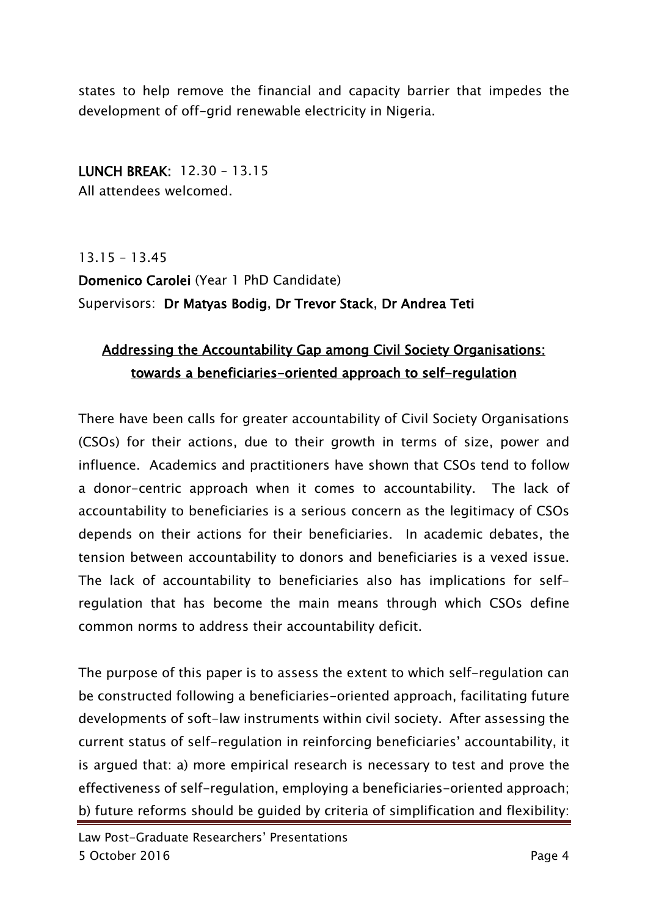states to help remove the financial and capacity barrier that impedes the development of off-grid renewable electricity in Nigeria.

LUNCH BREAK: 12.30 – 13.15 All attendees welcomed.

13.15 – 13.45 Domenico Carolei (Year 1 PhD Candidate) Supervisors: Dr Matyas Bodig, Dr Trevor Stack, Dr Andrea Teti

# Addressing the Accountability Gap among Civil Society Organisations: towards a beneficiaries-oriented approach to self-regulation

There have been calls for greater accountability of Civil Society Organisations (CSOs) for their actions, due to their growth in terms of size, power and influence. Academics and practitioners have shown that CSOs tend to follow a donor-centric approach when it comes to accountability. The lack of accountability to beneficiaries is a serious concern as the legitimacy of CSOs depends on their actions for their beneficiaries. In academic debates, the tension between accountability to donors and beneficiaries is a vexed issue. The lack of accountability to beneficiaries also has implications for selfregulation that has become the main means through which CSOs define common norms to address their accountability deficit.

The purpose of this paper is to assess the extent to which self-regulation can be constructed following a beneficiaries-oriented approach, facilitating future developments of soft-law instruments within civil society. After assessing the current status of self-regulation in reinforcing beneficiaries' accountability, it is argued that: a) more empirical research is necessary to test and prove the effectiveness of self-regulation, employing a beneficiaries-oriented approach; b) future reforms should be guided by criteria of simplification and flexibility: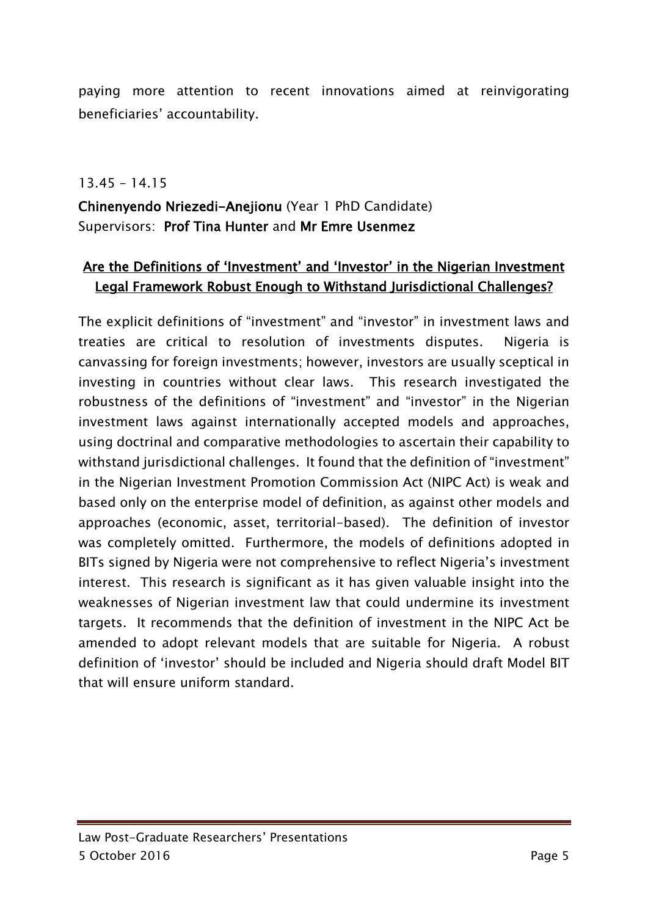paying more attention to recent innovations aimed at reinvigorating beneficiaries' accountability.

13.45 – 14.15

Chinenyendo Nriezedi-Anejionu (Year 1 PhD Candidate) Supervisors: Prof Tina Hunter and Mr Emre Usenmez

## Are the Definitions of 'Investment' and 'Investor' in the Nigerian Investment Legal Framework Robust Enough to Withstand Jurisdictional Challenges?

The explicit definitions of "investment" and "investor" in investment laws and treaties are critical to resolution of investments disputes. Nigeria is canvassing for foreign investments; however, investors are usually sceptical in investing in countries without clear laws. This research investigated the robustness of the definitions of "investment" and "investor" in the Nigerian investment laws against internationally accepted models and approaches, using doctrinal and comparative methodologies to ascertain their capability to withstand jurisdictional challenges. It found that the definition of "investment" in the Nigerian Investment Promotion Commission Act (NIPC Act) is weak and based only on the enterprise model of definition, as against other models and approaches (economic, asset, territorial-based). The definition of investor was completely omitted. Furthermore, the models of definitions adopted in BITs signed by Nigeria were not comprehensive to reflect Nigeria's investment interest. This research is significant as it has given valuable insight into the weaknesses of Nigerian investment law that could undermine its investment targets. It recommends that the definition of investment in the NIPC Act be amended to adopt relevant models that are suitable for Nigeria. A robust definition of 'investor' should be included and Nigeria should draft Model BIT that will ensure uniform standard.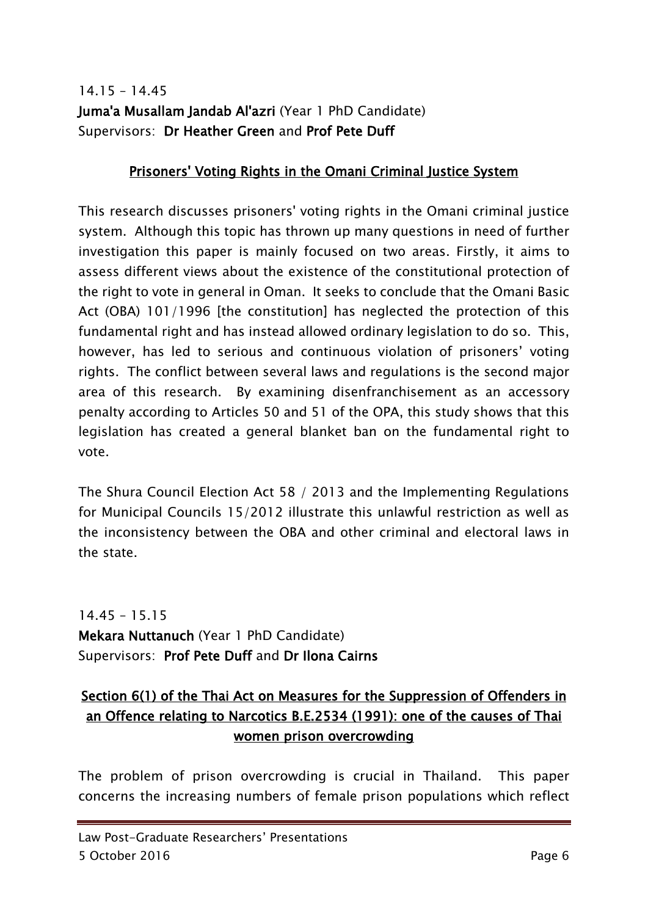## 14.15 – 14.45 Juma'a Musallam Jandab Al'azri (Year 1 PhD Candidate) Supervisors: Dr Heather Green and Prof Pete Duff

### Prisoners' Voting Rights in the Omani Criminal Justice System

This research discusses prisoners' voting rights in the Omani criminal justice system. Although this topic has thrown up many questions in need of further investigation this paper is mainly focused on two areas. Firstly, it aims to assess different views about the existence of the constitutional protection of the right to vote in general in Oman. It seeks to conclude that the Omani Basic Act (OBA) 101/1996 [the constitution] has neglected the protection of this fundamental right and has instead allowed ordinary legislation to do so. This, however, has led to serious and continuous violation of prisoners' voting rights. The conflict between several laws and regulations is the second major area of this research. By examining disenfranchisement as an accessory penalty according to Articles 50 and 51 of the OPA, this study shows that this legislation has created a general blanket ban on the fundamental right to vote.

The Shura Council Election Act 58 / 2013 and the Implementing Regulations for Municipal Councils 15/2012 illustrate this unlawful restriction as well as the inconsistency between the OBA and other criminal and electoral laws in the state.

14.45 – 15.15 Mekara Nuttanuch (Year 1 PhD Candidate) Supervisors: Prof Pete Duff and Dr Ilona Cairns

# Section 6(1) of the Thai Act on Measures for the Suppression of Offenders in an Offence relating to Narcotics B.E.2534 (1991): one of the causes of Thai women prison overcrowding

The problem of prison overcrowding is crucial in Thailand. This paper concerns the increasing numbers of female prison populations which reflect